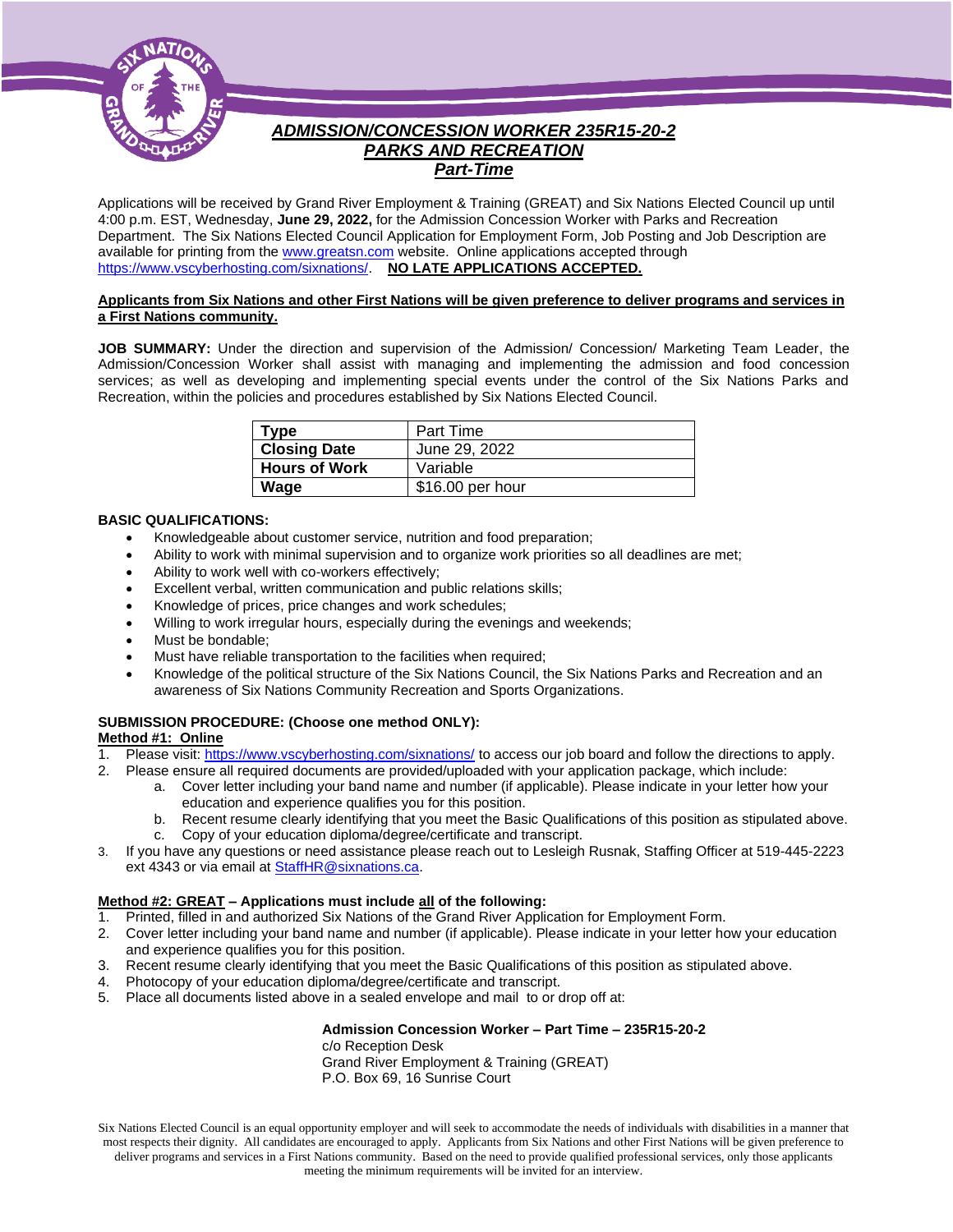

# *ADMISSION/CONCESSION WORKER 235R15-20-2 PARKS AND RECREATION Part-Time*

Applications will be received by Grand River Employment & Training (GREAT) and Six Nations Elected Council up until 4:00 p.m. EST, Wednesday, **June 29, 2022,** for the Admission Concession Worker with Parks and Recreation Department. The Six Nations Elected Council Application for Employment Form, Job Posting and Job Description are available for printing from th[e www.greatsn.com](http://www.greatsn.com/) website. Online applications accepted through [https://www.vscyberhosting.com/sixnations/.](https://www.vscyberhosting.com/sixnations/) **NO LATE APPLICATIONS ACCEPTED.**

## **Applicants from Six Nations and other First Nations will be given preference to deliver programs and services in a First Nations community.**

**JOB SUMMARY:** Under the direction and supervision of the Admission/ Concession/ Marketing Team Leader, the Admission/Concession Worker shall assist with managing and implementing the admission and food concession services; as well as developing and implementing special events under the control of the Six Nations Parks and Recreation, within the policies and procedures established by Six Nations Elected Council.

| Type                 | Part Time        |
|----------------------|------------------|
| <b>Closing Date</b>  | June 29, 2022    |
| <b>Hours of Work</b> | Variable         |
| Wage                 | \$16.00 per hour |

## **BASIC QUALIFICATIONS:**

- Knowledgeable about customer service, nutrition and food preparation;
- Ability to work with minimal supervision and to organize work priorities so all deadlines are met;
- Ability to work well with co-workers effectively;
- Excellent verbal, written communication and public relations skills;
- Knowledge of prices, price changes and work schedules;
- Willing to work irregular hours, especially during the evenings and weekends;
- Must be bondable;
- Must have reliable transportation to the facilities when required;
- Knowledge of the political structure of the Six Nations Council, the Six Nations Parks and Recreation and an awareness of Six Nations Community Recreation and Sports Organizations.

# **SUBMISSION PROCEDURE: (Choose one method ONLY):**

# **Method #1: Online**

- 1. Please visit[: https://www.vscyberhosting.com/sixnations/](https://www.vscyberhosting.com/sixnations/) to access our job board and follow the directions to apply.
- 2. Please ensure all required documents are provided/uploaded with your application package, which include:
	- a. Cover letter including your band name and number (if applicable). Please indicate in your letter how your education and experience qualifies you for this position.
	- b. Recent resume clearly identifying that you meet the Basic Qualifications of this position as stipulated above.
	- c. Copy of your education diploma/degree/certificate and transcript.
- 3. If you have any questions or need assistance please reach out to Lesleigh Rusnak, Staffing Officer at 519-445-2223 ext 4343 or via email a[t StaffHR@sixnations.ca.](mailto:StaffHR@sixnations.ca)

# **Method #2: GREAT – Applications must include all of the following:**

- 1. Printed, filled in and authorized Six Nations of the Grand River Application for Employment Form.
- 2. Cover letter including your band name and number (if applicable). Please indicate in your letter how your education and experience qualifies you for this position.
- 3. Recent resume clearly identifying that you meet the Basic Qualifications of this position as stipulated above.
- 4. Photocopy of your education diploma/degree/certificate and transcript.
- 5. Place all documents listed above in a sealed envelope and mail to or drop off at:

## **Admission Concession Worker – Part Time – 235R15-20-2**

c/o Reception Desk Grand River Employment & Training (GREAT) P.O. Box 69, 16 Sunrise Court

Six Nations Elected Council is an equal opportunity employer and will seek to accommodate the needs of individuals with disabilities in a manner that most respects their dignity. All candidates are encouraged to apply. Applicants from Six Nations and other First Nations will be given preference to deliver programs and services in a First Nations community. Based on the need to provide qualified professional services, only those applicants meeting the minimum requirements will be invited for an interview.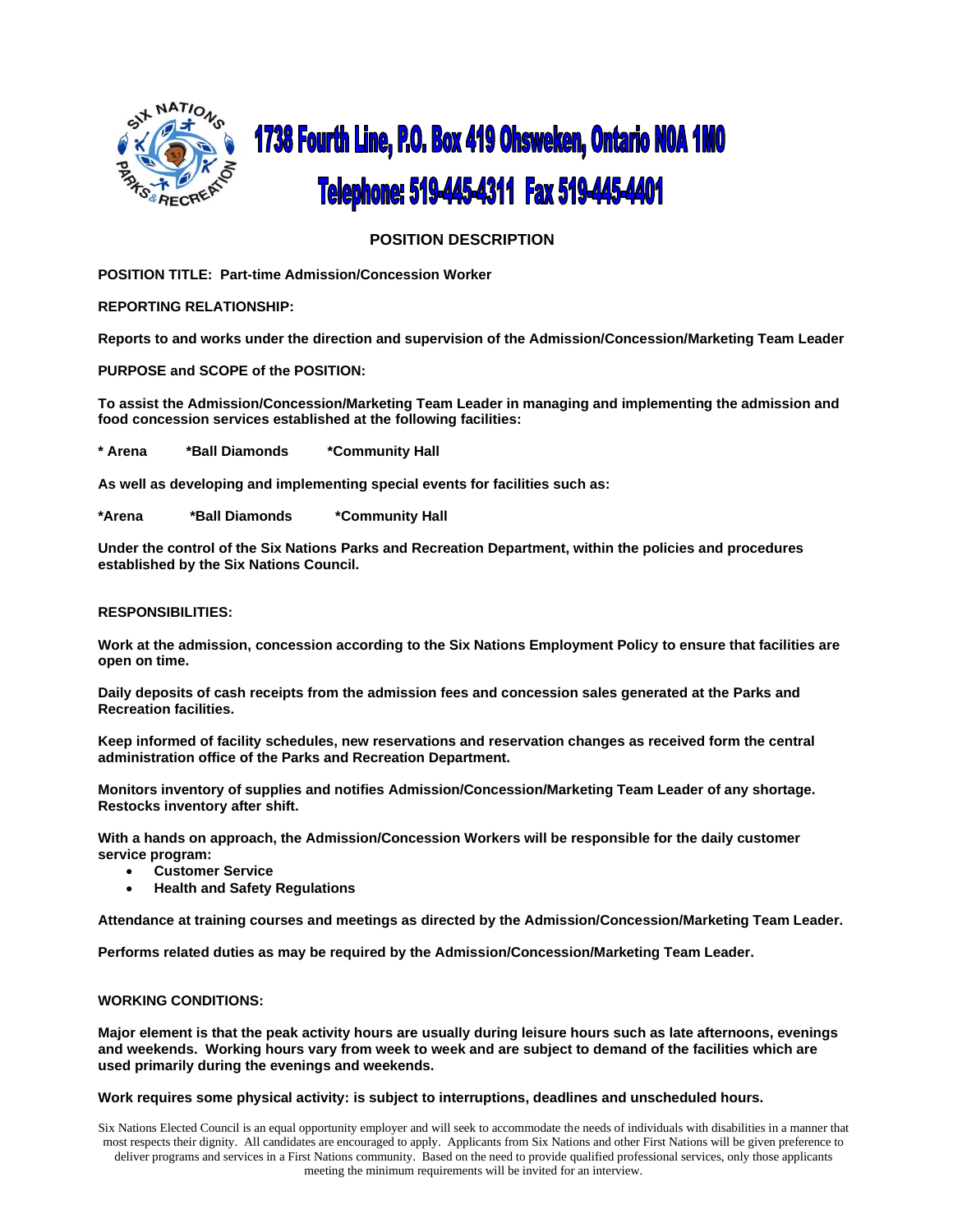

# **1738 Fourth Line, P.O. Box 419 Ohsweken, Ontario NOA 1MO** Telephone: 519-445-4311 Fax 519-445-4401

# **POSITION DESCRIPTION**

**POSITION TITLE: Part-time Admission/Concession Worker**

**REPORTING RELATIONSHIP:**

**Reports to and works under the direction and supervision of the Admission/Concession/Marketing Team Leader**

**PURPOSE and SCOPE of the POSITION:**

**To assist the Admission/Concession/Marketing Team Leader in managing and implementing the admission and food concession services established at the following facilities:**

**\* Arena \*Ball Diamonds \*Community Hall**

**As well as developing and implementing special events for facilities such as:**

**\*Arena \*Ball Diamonds \*Community Hall**

**Under the control of the Six Nations Parks and Recreation Department, within the policies and procedures established by the Six Nations Council.**

## **RESPONSIBILITIES:**

**Work at the admission, concession according to the Six Nations Employment Policy to ensure that facilities are open on time.**

**Daily deposits of cash receipts from the admission fees and concession sales generated at the Parks and Recreation facilities.**

**Keep informed of facility schedules, new reservations and reservation changes as received form the central administration office of the Parks and Recreation Department.**

**Monitors inventory of supplies and notifies Admission/Concession/Marketing Team Leader of any shortage. Restocks inventory after shift.**

**With a hands on approach, the Admission/Concession Workers will be responsible for the daily customer service program:**

- **Customer Service**
- **Health and Safety Regulations**

**Attendance at training courses and meetings as directed by the Admission/Concession/Marketing Team Leader.**

**Performs related duties as may be required by the Admission/Concession/Marketing Team Leader.**

## **WORKING CONDITIONS:**

**Major element is that the peak activity hours are usually during leisure hours such as late afternoons, evenings and weekends. Working hours vary from week to week and are subject to demand of the facilities which are used primarily during the evenings and weekends.**

#### **Work requires some physical activity: is subject to interruptions, deadlines and unscheduled hours.**

Six Nations Elected Council is an equal opportunity employer and will seek to accommodate the needs of individuals with disabilities in a manner that most respects their dignity. All candidates are encouraged to apply. Applicants from Six Nations and other First Nations will be given preference to deliver programs and services in a First Nations community. Based on the need to provide qualified professional services, only those applicants meeting the minimum requirements will be invited for an interview.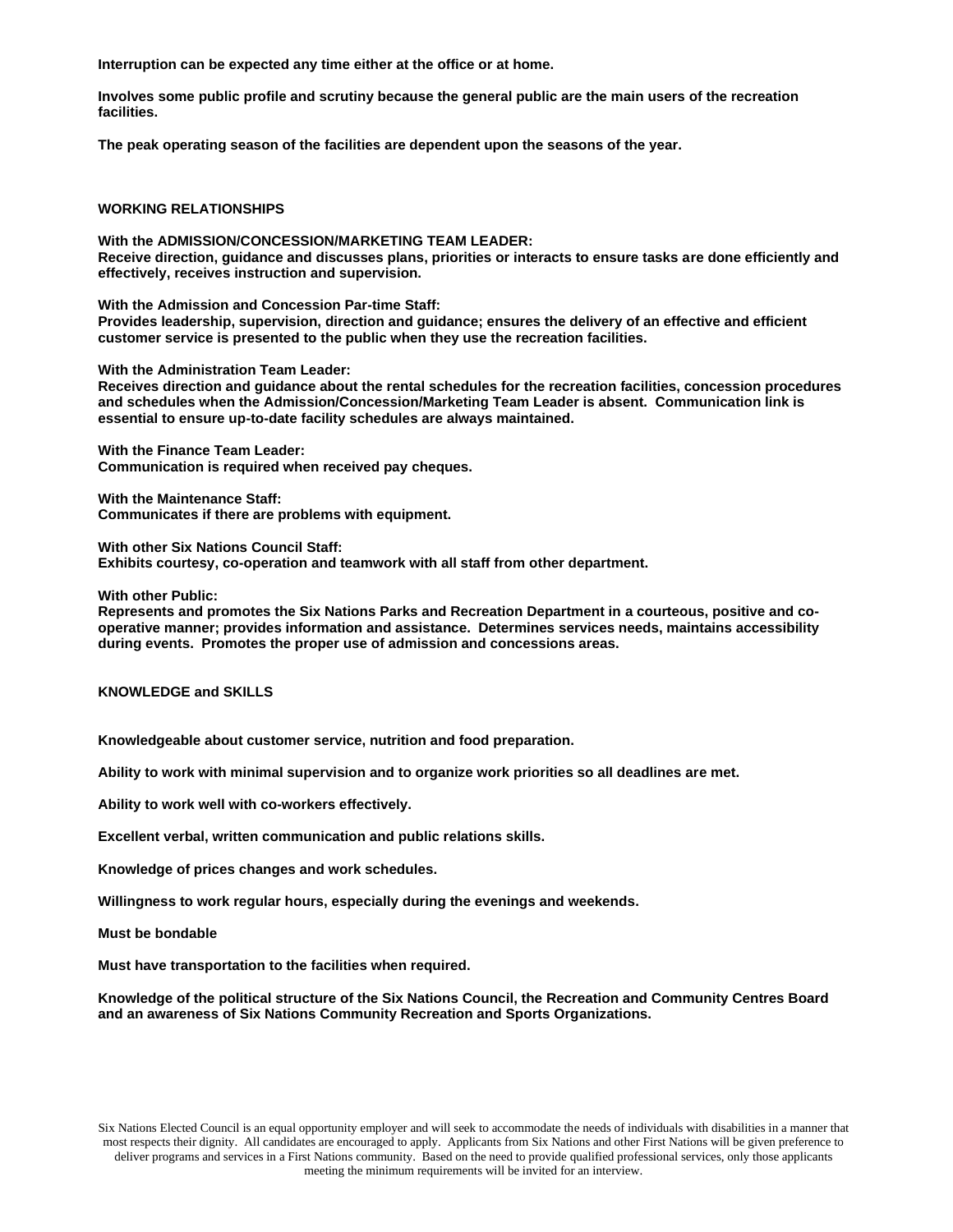**Interruption can be expected any time either at the office or at home.**

**Involves some public profile and scrutiny because the general public are the main users of the recreation facilities.**

**The peak operating season of the facilities are dependent upon the seasons of the year.**

## **WORKING RELATIONSHIPS**

**With the ADMISSION/CONCESSION/MARKETING TEAM LEADER: Receive direction, guidance and discusses plans, priorities or interacts to ensure tasks are done efficiently and effectively, receives instruction and supervision.**

**With the Admission and Concession Par-time Staff: Provides leadership, supervision, direction and guidance; ensures the delivery of an effective and efficient customer service is presented to the public when they use the recreation facilities.**

**With the Administration Team Leader:**

**Receives direction and guidance about the rental schedules for the recreation facilities, concession procedures and schedules when the Admission/Concession/Marketing Team Leader is absent. Communication link is essential to ensure up-to-date facility schedules are always maintained.**

**With the Finance Team Leader: Communication is required when received pay cheques.**

**With the Maintenance Staff: Communicates if there are problems with equipment.**

**With other Six Nations Council Staff:**

**Exhibits courtesy, co-operation and teamwork with all staff from other department.**

**With other Public:**

**Represents and promotes the Six Nations Parks and Recreation Department in a courteous, positive and cooperative manner; provides information and assistance. Determines services needs, maintains accessibility during events. Promotes the proper use of admission and concessions areas.**

**KNOWLEDGE and SKILLS**

**Knowledgeable about customer service, nutrition and food preparation.**

**Ability to work with minimal supervision and to organize work priorities so all deadlines are met.**

**Ability to work well with co-workers effectively.**

**Excellent verbal, written communication and public relations skills.**

**Knowledge of prices changes and work schedules.**

**Willingness to work regular hours, especially during the evenings and weekends.**

**Must be bondable**

**Must have transportation to the facilities when required.**

**Knowledge of the political structure of the Six Nations Council, the Recreation and Community Centres Board and an awareness of Six Nations Community Recreation and Sports Organizations.**

Six Nations Elected Council is an equal opportunity employer and will seek to accommodate the needs of individuals with disabilities in a manner that most respects their dignity. All candidates are encouraged to apply. Applicants from Six Nations and other First Nations will be given preference to deliver programs and services in a First Nations community. Based on the need to provide qualified professional services, only those applicants meeting the minimum requirements will be invited for an interview.